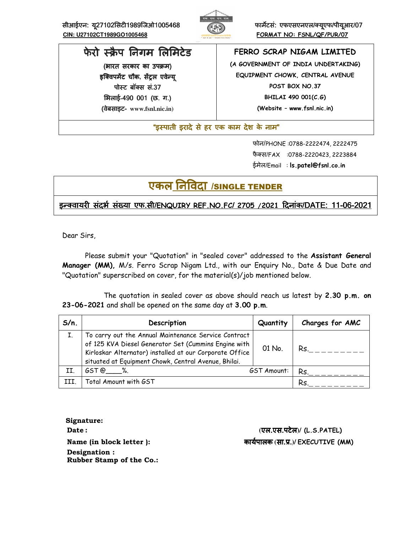सीआईएन: यू27102सिटी1989जिओ1005468 *ABS हो फार्मेंटसं: एफएसएनएल/क्यूएफ/पीयूआर/ 07*  **CIN: U27102CT1989GO1005468 FORMAT NO: FSNL/QF/PUR/07**



# फेरो स्क्रैप निगम लिमिटेड

(भारत सरकार का उपक्रम) इक्विपमेंट चौक, सेंट्रल एवेन्य<u>ु</u> पोस्ट बॉक्स सं.37 भलाई**-**490 001 ( (छ. ग.) (वेबसाइट वेबसाइट- **www.fsnl.nic.in)** 

# **FERRO SCRAP NIGAM LIMITED**

**(A GOVERNMENT OF INDIA UNDERTAKING) EQUIPMENT CHOWK, CENTRAL AVENUE POST BOX NO.37 BHILAI 490 001(C.G) (Website – www.fsnl.nic.in)** 

"इस्पाती इरादे से हर एक काम देश के नाम"

 फोन/PHONE :0788-2222474, 2222475 फैक्स/FAX :0788-2220423, 2223884 ईमेल/Email : **ls.patel@fsnl.co.in**

# एकल निविदा /single TENDER

# इ8!वायर संदभE संFया एफ संदभE संFया एफसंदभE संFया एफ.सी/**ENQUIRY REF.NO.FC**/ **2705 /2021**Gदनांक/DATE: 11-06-2021

Dear Sirs,

Please submit your "Quotation" in "sealed cover" addressed to the **Assistant General Manager (MM),** M/s. Ferro Scrap Nigam Ltd., with our Enquiry No., Date & Due Date and "Quotation" superscribed on cover, for the material(s)/job mentioned below.

 The quotation in sealed cover as above should reach us latest by **2.30 p.m. on 23-06-2021** and shall be opened on the same day at **3.00 p.m**.

| To carry out the Annual Maintenance Service Contract<br>of 125 KVA Diesel Generator Set (Cummins Engine with<br>01 No.<br>Rs.<br>Kirloskar Alternator) installed at our Corporate Office<br>situated at Equipment Chowk, Central Avenue, Bhilai.<br>II.<br>GST@%.<br>GST Amount:<br>Rs.<br>Total Amount with GST<br>III.<br>Rs | $S/n$ . | Description | Quantity | Charges for AMC |
|--------------------------------------------------------------------------------------------------------------------------------------------------------------------------------------------------------------------------------------------------------------------------------------------------------------------------------|---------|-------------|----------|-----------------|
|                                                                                                                                                                                                                                                                                                                                |         |             |          |                 |
|                                                                                                                                                                                                                                                                                                                                |         |             |          |                 |
|                                                                                                                                                                                                                                                                                                                                |         |             |          |                 |

 **Signature: Designation : Rubber Stamp of the Co.:** 

 **Date : (**एल.एस.पटेल**)/ (L.S.PATEL) Name (in block letter ):** कायEपालक **(**सा.L.**)/ EXECUTIVE (MM)**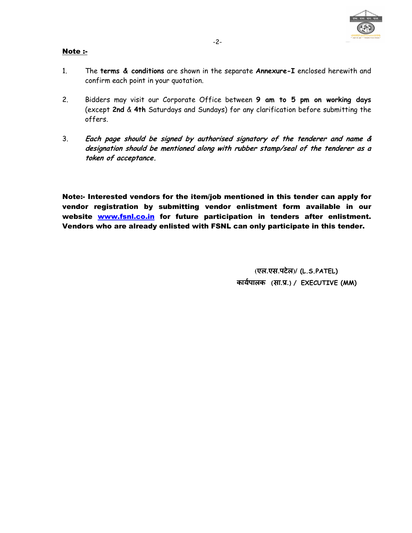

### Note :-

- 1. The **terms & conditions** are shown in the separate **Annexure-I** enclosed herewith and confirm each point in your quotation.
- 2. Bidders may visit our Corporate Office between **9 am to 5 pm on working days** (except **2nd** & **4th** Saturdays and Sundays) for any clarification before submitting the offers.
- 3. **Each page should be signed by authorised signatory of the tenderer and name & designation should be mentioned along with rubber stamp/seal of the tenderer as a token of acceptance.**

Note:- Interested vendors for the item/job mentioned in this tender can apply for vendor registration by submitting vendor enlistment form available in our website www.fsnl.co.in for future participation in tenders after enlistment. Vendors who are already enlisted with FSNL can only participate in this tender.

> **(**एल.एस.पटेल**)/ (L.S.PATEL)** कायEपालक **(**सा.L.**)/ EXECUTIVE (MM)**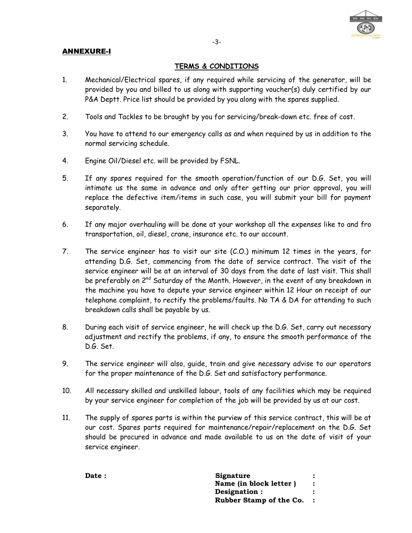## ANNEXURE-I



## **TERMS & CONDITIONS**

- 1. Mechanical/Electrical spares, if any required while servicing of the generator, will be provided by you and billed to us along with supporting voucher(s) duly certified by our P&A Deptt. Price list should be provided by you along with the spares supplied.
- 2. Tools and Tackles to be brought by you for servicing/break-down etc. free of cost.
- 3. You have to attend to our emergency calls as and when required by us in addition to the normal servicing schedule.
- 4. Engine Oil/Diesel etc. will be provided by FSNL.
- 5. If any spares required for the smooth operation/function of our D.G. Set, you will intimate us the same in advance and only after getting our prior approval, you will replace the defective item/items in such case, you will submit your bill for payment separately.
- 6. If any major overhauling will be done at your workshop all the expenses like to and fro transportation, oil, diesel, crane, insurance etc. to our account.
- 7. The service engineer has to visit our site (C.O.) minimum 12 times in the years, for attending D.G. Set, commencing from the date of service contract. The visit of the service engineer will be at an interval of 30 days from the date of last visit. This shall be preferably on 2<sup>nd</sup> Saturday of the Month. However, in the event of any breakdown in the machine you have to depute your service engineer within 12 Hour on receipt of our telephone complaint, to rectify the problems/faults. No TA & DA for attending to such breakdown calls shall be payable by us.
- 8. During each visit of service engineer, he will check up the D.G. Set, carry out necessary adjustment and rectify the problems, if any, to ensure the smooth performance of the D.G. Set.
- 9. The service engineer will also, guide, train and give necessary advise to our operators for the proper maintenance of the D.G. Set and satisfactory performance.
- 10. All necessary skilled and unskilled labour, tools of any facilities which may be required by your service engineer for completion of the job will be provided by us at our cost.
- 11. The supply of spares parts is within the purview of this service contract, this will be at our cost. Spares parts required for maintenance/repair/replacement on the D.G. Set should be procured in advance and made available to us on the date of visit of your service engineer.

**Date :** Signature  **Name (in block letter ) : Designation : : Rubber Stamp of the Co. :**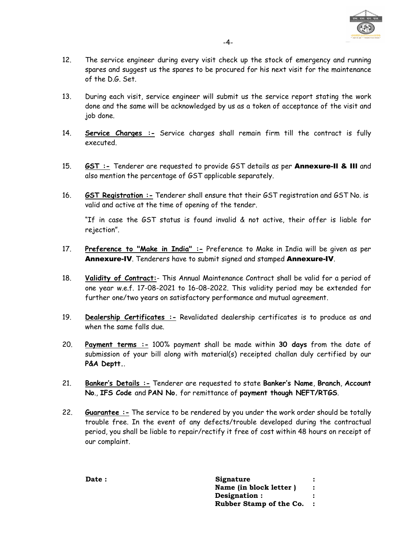

- 12. The service engineer during every visit check up the stock of emergency and running spares and suggest us the spares to be procured for his next visit for the maintenance of the D.G. Set.
- 13. During each visit, service engineer will submit us the service report stating the work done and the same will be acknowledged by us as a token of acceptance of the visit and job done.
- 14. **Service Charges :-** Service charges shall remain firm till the contract is fully executed.
- 15. **GST :-** Tenderer are requested to provide GST details as per Annexure-Il & IIl and also mention the percentage of GST applicable separately.
- 16. **GST Registration :-** Tenderer shall ensure that their GST registration and GST No. is valid and active at the time of opening of the tender.

"If in case the GST status is found invalid & not active, their offer is liable for rejection".

- 17. **Preference to "Make in India" :-** Preference to Make in India will be given as per Annexure-IV. Tenderers have to submit signed and stamped Annexure-IV.
- 18. **Validity of Contract:** This Annual Maintenance Contract shall be valid for a period of one year w.e.f. 17-08-2021 to 16-08-2022. This validity period may be extended for further one/two years on satisfactory performance and mutual agreement.
- 19. **Dealership Certificates :-** Revalidated dealership certificates is to produce as and when the same falls due.
- 20. **Payment terms :-** 100% payment shall be made within **30 days** from the date of submission of your bill along with material(s) receipted challan duly certified by our **P&A Deptt.**.
- 21. **Banker's Details :-** Tenderer are requested to state **Banker's Name**, **Branch**, **Account No**., **IFS Code** and **PAN No.** for remittance of **payment though NEFT/RTGS**.
- 22. **Guarantee :** The service to be rendered by you under the work order should be totally trouble free. In the event of any defects/trouble developed during the contractual period, you shall be liable to repair/rectify it free of cost within 48 hours on receipt of our complaint.

| Date : | Signature               |  |
|--------|-------------------------|--|
|        | Name (in block letter)  |  |
|        | Designation :           |  |
|        | Rubber Stamp of the Co. |  |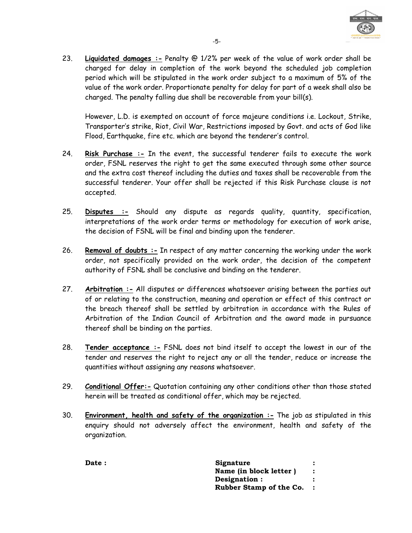

23. **Liquidated damages :-** Penalty @ 1/2% per week of the value of work order shall be charged for delay in completion of the work beyond the scheduled job completion period which will be stipulated in the work order subject to a maximum of 5% of the value of the work order. Proportionate penalty for delay for part of a week shall also be charged. The penalty falling due shall be recoverable from your bill(s).

However, L.D. is exempted on account of force majeure conditions i.e. Lockout, Strike, Transporter's strike, Riot, Civil War, Restrictions imposed by Govt. and acts of God like Flood, Earthquake, fire etc. which are beyond the tenderer's control.

- 24. **Risk Purchase :-** In the event, the successful tenderer fails to execute the work order, FSNL reserves the right to get the same executed through some other source and the extra cost thereof including the duties and taxes shall be recoverable from the successful tenderer. Your offer shall be rejected if this Risk Purchase clause is not accepted.
- 25. **Disputes :-** Should any dispute as regards quality, quantity, specification, interpretations of the work order terms or methodology for execution of work arise, the decision of FSNL will be final and binding upon the tenderer.
- 26. **Removal of doubts :-** In respect of any matter concerning the working under the work order, not specifically provided on the work order, the decision of the competent authority of FSNL shall be conclusive and binding on the tenderer.
- 27. **Arbitration :-** All disputes or differences whatsoever arising between the parties out of or relating to the construction, meaning and operation or effect of this contract or the breach thereof shall be settled by arbitration in accordance with the Rules of Arbitration of the Indian Council of Arbitration and the award made in pursuance thereof shall be binding on the parties.
- 28. **Tender acceptance :-** FSNL does not bind itself to accept the lowest in our of the tender and reserves the right to reject any or all the tender, reduce or increase the quantities without assigning any reasons whatsoever.
- 29. **Conditional Offer:-** Quotation containing any other conditions other than those stated herein will be treated as conditional offer, which may be rejected.
- 30. **Environment, health and safety of the organization :-** The job as stipulated in this enquiry should not adversely affect the environment, health and safety of the organization.

Date : Signature : Signature : Signature : Signature : Signature : Signature : Signature : Signature : Signature : Signature : Signature : Signature : Signature : Signature : Signature : Signature : Signature : Signature :  **Name (in block letter ) : Designation : : Rubber Stamp of the Co. :**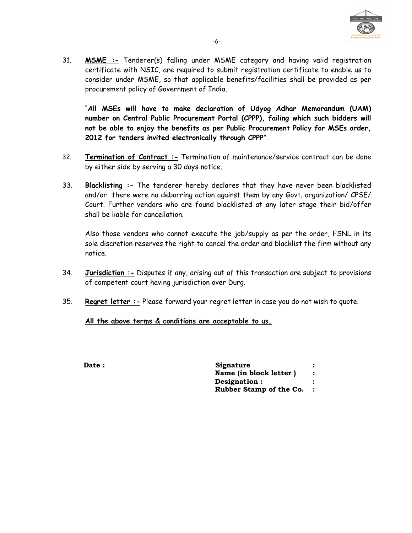

31. **MSME :-** Tenderer(s) falling under MSME category and having valid registration certificate with NSIC, are required to submit registration certificate to enable us to consider under MSME, so that applicable benefits/facilities shall be provided as per procurement policy of Government of India.

"**All MSEs will have to make declaration of Udyog Adhar Memorandum (UAM) number on Central Public Procurement Portal (CPPP), failing which such bidders will not be able to enjoy the benefits as per Public Procurement Policy for MSEs order, 2012 for tenders invited electronically through CPPP**".

- 32. **Termination of Contract :-** Termination of maintenance/service contract can be done by either side by serving a 30 days notice.
- 33. **Blacklisting :-** The tenderer hereby declares that they have never been blacklisted and/or there were no debarring action against them by any Govt. organization/ CPSE/ Court. Further vendors who are found blacklisted at any later stage their bid/offer shall be liable for cancellation.

Also those vendors who cannot execute the job/supply as per the order, FSNL in its sole discretion reserves the right to cancel the order and blacklist the firm without any notice.

- 34. **Jurisdiction :-** Disputes if any, arising out of this transaction are subject to provisions of competent court having jurisdiction over Durg.
- 35. **Regret letter :-** Please forward your regret letter in case you do not wish to quote.

## **All the above terms & conditions are acceptable to us.**

**Date :** Signature  **Name (in block letter ) : Designation : : Rubber Stamp of the Co. :**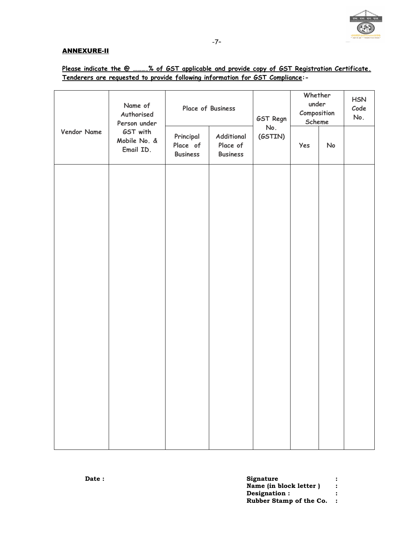

#### ANNEXURE-II

# **Please indicate the @ ……….% of GST applicable and provide copy of GST Registration Certificate. Tenderers are requested to provide following information for GST Compliance:-**

|             | Name of<br>Authorised<br>Person under<br>GST with<br>Mobile No. &<br>Email ID. | Place of Business                        |                                           | GST Regn       | Whether<br>under<br>Composition<br>Scheme |    | <b>HSN</b><br>Code<br>No. |
|-------------|--------------------------------------------------------------------------------|------------------------------------------|-------------------------------------------|----------------|-------------------------------------------|----|---------------------------|
| Vendor Name |                                                                                | Principal<br>Place of<br><b>Business</b> | Additional<br>Place of<br><b>Business</b> | No.<br>(GSTIN) | Yes                                       | No |                           |
|             |                                                                                |                                          |                                           |                |                                           |    |                           |
|             |                                                                                |                                          |                                           |                |                                           |    |                           |
|             |                                                                                |                                          |                                           |                |                                           |    |                           |
|             |                                                                                |                                          |                                           |                |                                           |    |                           |
|             |                                                                                |                                          |                                           |                |                                           |    |                           |
|             |                                                                                |                                          |                                           |                |                                           |    |                           |
|             |                                                                                |                                          |                                           |                |                                           |    |                           |
|             |                                                                                |                                          |                                           |                |                                           |    |                           |

| Signature               |  |
|-------------------------|--|
| Name (in block letter)  |  |
| Designation :           |  |
| Rubber Stamp of the Co. |  |
|                         |  |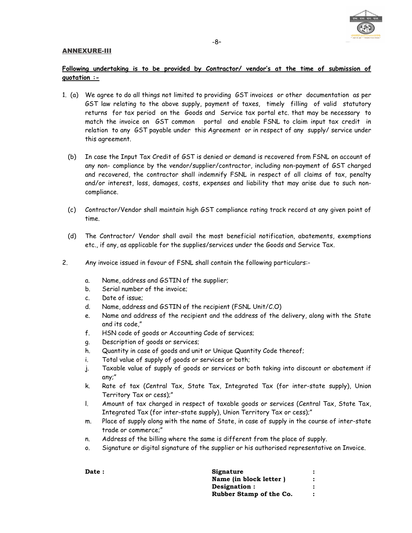#### ANNEXURE-III



### **Following undertaking is to be provided by Contractor/ vendor's at the time of submission of quotation :-**

- 1. (a) We agree to do all things not limited to providing GST invoices or other documentation as per GST law relating to the above supply, payment of taxes, timely filling of valid statutory returns for tax period on the Goods and Service tax portal etc. that may be necessary to match the invoice on GST common portal and enable FSNL to claim input tax credit in relation to any GST payable under this Agreement or in respect of any supply/ service under this agreement.
	- (b) In case the Input Tax Credit of GST is denied or demand is recovered from FSNL on account of any non- compliance by the vendor/supplier/contractor, including non-payment of GST charged and recovered, the contractor shall indemnify FSNL in respect of all claims of tax, penalty and/or interest, loss, damages, costs, expenses and liability that may arise due to such noncompliance.
	- (c) Contractor/Vendor shall maintain high GST compliance rating track record at any given point of time.
	- (d) The Contractor/ Vendor shall avail the most beneficial notification, abatements, exemptions etc., if any, as applicable for the supplies/services under the Goods and Service Tax.
- 2. Any invoice issued in favour of FSNL shall contain the following particulars:
	- a. Name, address and GSTIN of the supplier;
	- b. Serial number of the invoice;
	- c. Date of issue;
	- d. Name, address and GSTIN of the recipient (FSNL Unit/C.O)
	- e. Name and address of the recipient and the address of the delivery, along with the State and its code,"
	- f. HSN code of goods or Accounting Code of services;
	- g. Description of goods or services;
	- h. Quantity in case of goods and unit or Unique Quantity Code thereof;
	- i. Total value of supply of goods or services or both;
	- j. Taxable value of supply of goods or services or both taking into discount or abatement if any;"
	- k. Rate of tax (Central Tax, State Tax, Integrated Tax (for inter-state supply), Union Territory Tax or cess);"
	- l. Amount of tax charged in respect of taxable goods or services (Central Tax, State Tax, Integrated Tax (for inter-state supply), Union Territory Tax or cess);"
	- m. Place of supply along with the name of State, in case of supply in the course of inter-state trade or commerce;"
	- n. Address of the billing where the same is different from the place of supply.
	- o. Signature or digital signature of the supplier or his authorised representative on Invoice.

| <b>Date :</b> | Signature               |  |
|---------------|-------------------------|--|
|               | Name (in block letter)  |  |
|               | Designation:            |  |
|               | Rubber Stamp of the Co. |  |
|               |                         |  |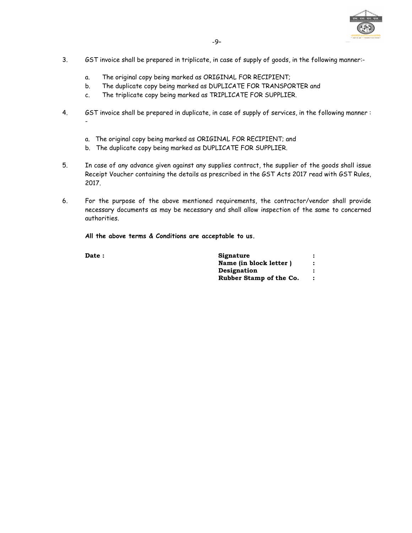

- 3. GST invoice shall be prepared in triplicate, in case of supply of goods, in the following manner:
	- a. The original copy being marked as ORIGINAL FOR RECIPIENT;
	- b. The duplicate copy being marked as DUPLICATE FOR TRANSPORTER and
	- c. The triplicate copy being marked as TRIPLICATE FOR SUPPLIER.
- 4. GST invoice shall be prepared in duplicate, in case of supply of services, in the following manner :
	- a. The original copy being marked as ORIGINAL FOR RECIPIENT; and
	- b. The duplicate copy being marked as DUPLICATE FOR SUPPLIER.
- 5. In case of any advance given against any supplies contract, the supplier of the goods shall issue Receipt Voucher containing the details as prescribed in the GST Acts 2017 read with GST Rules, 2017.
- 6. For the purpose of the above mentioned requirements, the contractor/vendor shall provide necessary documents as may be necessary and shall allow inspection of the same to concerned authorities.

**All the above terms & Conditions are acceptable to us.** 

| <b>Date :</b> | Signature               |  |
|---------------|-------------------------|--|
|               | Name (in block letter)  |  |
|               | Designation             |  |
|               | Rubber Stamp of the Co. |  |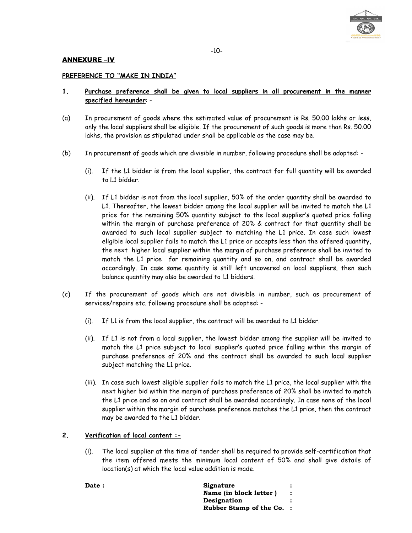

#### ANNEXURE –IV

#### **PREFERENCE TO "MAKE IN INDIA"**

- **1. Purchase preference shall be given to local suppliers in all procurement in the manner specified hereunder**: -
- (a) In procurement of goods where the estimated value of procurement is Rs. 50.00 lakhs or less, only the local suppliers shall be eligible. If the procurement of such goods is more than Rs. 50.00 lakhs, the provision as stipulated under shall be applicable as the case may be.
- (b) In procurement of goods which are divisible in number, following procedure shall be adopted:
	- (i). If the L1 bidder is from the local supplier, the contract for full quantity will be awarded to L1 bidder.
	- (ii). If L1 bidder is not from the local supplier, 50% of the order quantity shall be awarded to L1. Thereafter, the lowest bidder among the local supplier will be invited to match the L1 price for the remaining 50% quantity subject to the local supplier's quoted price falling within the margin of purchase preference of 20% & contract for that quantity shall be awarded to such local supplier subject to matching the L1 price. In case such lowest eligible local supplier fails to match the L1 price or accepts less than the offered quantity, the next higher local supplier within the margin of purchase preference shall be invited to match the L1 price for remaining quantity and so on, and contract shall be awarded accordingly. In case some quantity is still left uncovered on local suppliers, then such balance quantity may also be awarded to L1 bidders.
- (c) If the procurement of goods which are not divisible in number, such as procurement of services/repairs etc. following procedure shall be adopted: -
	- (i). If L1 is from the local supplier, the contract will be awarded to L1 bidder.
	- (ii). If L1 is not from a local supplier, the lowest bidder among the supplier will be invited to match the L1 price subject to local supplier's quoted price falling within the margin of purchase preference of 20% and the contract shall be awarded to such local supplier subject matching the L1 price.
	- (iii). In case such lowest eligible supplier fails to match the L1 price, the local supplier with the next higher bid within the margin of purchase preference of 20% shall be invited to match the L1 price and so on and contract shall be awarded accordingly. In case none of the local supplier within the margin of purchase preference matches the L1 price, then the contract may be awarded to the L1 bidder.

#### **2. Verification of local content :-**

(i). The local supplier at the time of tender shall be required to provide self-certification that the item offered meets the minimum local content of 50% and shall give details of location(s) at which the local value addition is made.

Date : Signature : **Signature Name (in block letter ) : Designation : Rubber Stamp of the Co. :**